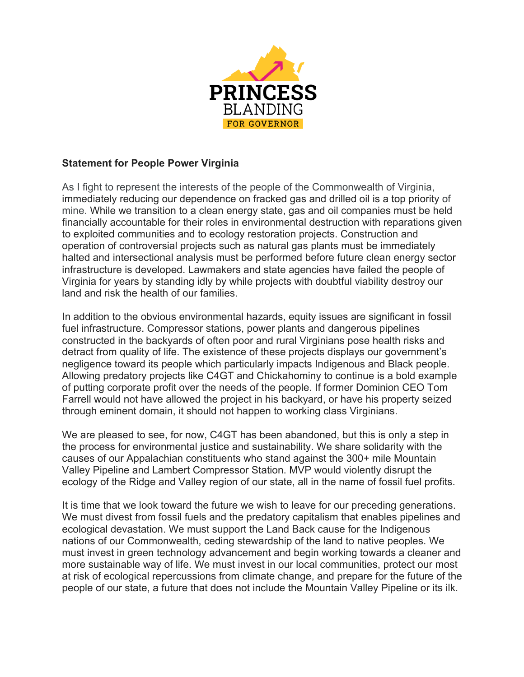

## **Statement for People Power Virginia**

As I fight to represent the interests of the people of the Commonwealth of Virginia, immediately reducing our dependence on fracked gas and drilled oil is a top priority of mine. While we transition to a clean energy state, gas and oil companies must be held financially accountable for their roles in environmental destruction with reparations given to exploited communities and to ecology restoration projects. Construction and operation of controversial projects such as natural gas plants must be immediately halted and intersectional analysis must be performed before future clean energy sector infrastructure is developed. Lawmakers and state agencies have failed the people of Virginia for years by standing idly by while projects with doubtful viability destroy our land and risk the health of our families.

In addition to the obvious environmental hazards, equity issues are significant in fossil fuel infrastructure. Compressor stations, power plants and dangerous pipelines constructed in the backyards of often poor and rural Virginians pose health risks and detract from quality of life. The existence of these projects displays our government's negligence toward its people which particularly impacts Indigenous and Black people. Allowing predatory projects like C4GT and Chickahominy to continue is a bold example of putting corporate profit over the needs of the people. If former Dominion CEO Tom Farrell would not have allowed the project in his backyard, or have his property seized through eminent domain, it should not happen to working class Virginians.

We are pleased to see, for now, C4GT has been abandoned, but this is only a step in the process for environmental justice and sustainability. We share solidarity with the causes of our Appalachian constituents who stand against the 300+ mile Mountain Valley Pipeline and Lambert Compressor Station. MVP would violently disrupt the ecology of the Ridge and Valley region of our state, all in the name of fossil fuel profits.

It is time that we look toward the future we wish to leave for our preceding generations. We must divest from fossil fuels and the predatory capitalism that enables pipelines and ecological devastation. We must support the Land Back cause for the Indigenous nations of our Commonwealth, ceding stewardship of the land to native peoples. We must invest in green technology advancement and begin working towards a cleaner and more sustainable way of life. We must invest in our local communities, protect our most at risk of ecological repercussions from climate change, and prepare for the future of the people of our state, a future that does not include the Mountain Valley Pipeline or its ilk.